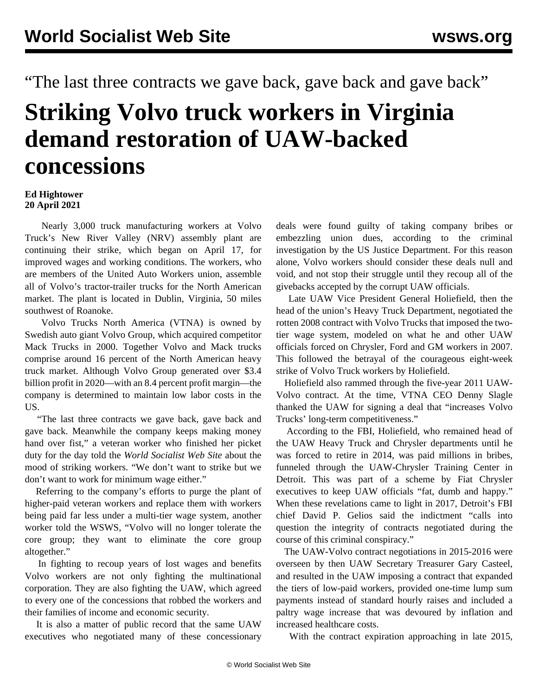"The last three contracts we gave back, gave back and gave back"

## **Striking Volvo truck workers in Virginia demand restoration of UAW-backed concessions**

## **Ed Hightower 20 April 2021**

 Nearly 3,000 truck manufacturing workers at Volvo Truck's New River Valley (NRV) assembly plant are continuing their strike, which began on April 17, for improved wages and working conditions. The workers, who are members of the United Auto Workers union, assemble all of Volvo's tractor-trailer trucks for the North American market. The plant is located in Dublin, Virginia, 50 miles southwest of Roanoke.

 Volvo Trucks North America (VTNA) is owned by Swedish auto giant Volvo Group, which acquired competitor Mack Trucks in 2000. Together Volvo and Mack trucks comprise around 16 percent of the North American heavy truck market. Although Volvo Group generated over \$3.4 billion profit in 2020—with an 8.4 percent profit margin—the company is determined to maintain low labor costs in the US.

 "The last three contracts we gave back, gave back and gave back. Meanwhile the company keeps making money hand over fist," a veteran worker who finished her picket duty for the day told the *World Socialist Web Site* about the mood of striking workers. "We don't want to strike but we don't want to work for minimum wage either."

 Referring to the company's efforts to purge the plant of higher-paid veteran workers and replace them with workers being paid far less under a multi-tier wage system, another worker told the WSWS, "Volvo will no longer tolerate the core group; they want to eliminate the core group altogether."

 In fighting to recoup years of lost wages and benefits Volvo workers are not only fighting the multinational corporation. They are also fighting the UAW, which agreed to every one of the concessions that robbed the workers and their families of income and economic security.

 It is also a matter of public record that the same UAW executives who negotiated many of these concessionary deals were found guilty of taking company bribes or embezzling union dues, according to the criminal investigation by the US Justice Department. For this reason alone, Volvo workers should consider these deals null and void, and not stop their struggle until they recoup all of the givebacks accepted by the corrupt UAW officials.

 Late UAW Vice President General Holiefield, then the head of the union's Heavy Truck Department, negotiated the rotten 2008 contract with Volvo Trucks that imposed the [two](/en/articles/2007/10/uaw-o05.html)[tier wage](/en/articles/2007/10/uaw-o05.html) system, modeled on what he and other UAW officials forced on Chrysler, Ford and GM workers in 2007. This followed the betrayal of the courageous eight-week strike of Volvo Truck workers by Holiefield.

 Holiefield also rammed through the five-year 2011 UAW-Volvo contract. At the time, VTNA CEO Denny Slagle thanked the UAW for signing a deal that "increases Volvo Trucks' long-term competitiveness."

 According to the FBI, Holiefield, who remained head of the UAW Heavy Truck and Chrysler departments until he was forced to retire in 2014, was paid millions in bribes, funneled through the UAW-Chrysler Training Center in Detroit. This was part of a scheme by Fiat Chrysler executives to keep UAW officials "fat, dumb and happy." When these revelations came to light in 2017, Detroit's FBI chief David P. Gelios said the indictment "calls into question the integrity of contracts negotiated during the course of this criminal conspiracy."

 The UAW-Volvo contract negotiations in 2015-2016 were overseen by then UAW Secretary Treasurer Gary Casteel, and resulted in the UAW imposing a contract that expanded the tiers of low-paid workers, provided one-time lump sum payments instead of standard hourly raises and included a paltry wage increase that was devoured by inflation and increased healthcare costs.

With the contract expiration approaching in late 2015,